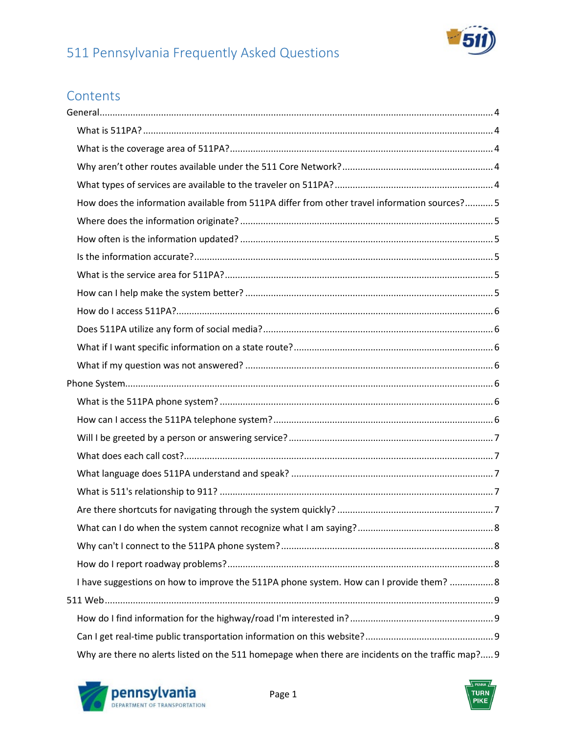

## **Contents**

| How does the information available from 511PA differ from other travel information sources? 5     |  |
|---------------------------------------------------------------------------------------------------|--|
|                                                                                                   |  |
|                                                                                                   |  |
|                                                                                                   |  |
|                                                                                                   |  |
|                                                                                                   |  |
|                                                                                                   |  |
|                                                                                                   |  |
|                                                                                                   |  |
|                                                                                                   |  |
|                                                                                                   |  |
|                                                                                                   |  |
|                                                                                                   |  |
|                                                                                                   |  |
|                                                                                                   |  |
|                                                                                                   |  |
|                                                                                                   |  |
|                                                                                                   |  |
|                                                                                                   |  |
|                                                                                                   |  |
|                                                                                                   |  |
| I have suggestions on how to improve the 511PA phone system. How can I provide them?  8           |  |
|                                                                                                   |  |
|                                                                                                   |  |
|                                                                                                   |  |
| Why are there no alerts listed on the 511 homepage when there are incidents on the traffic map? 9 |  |

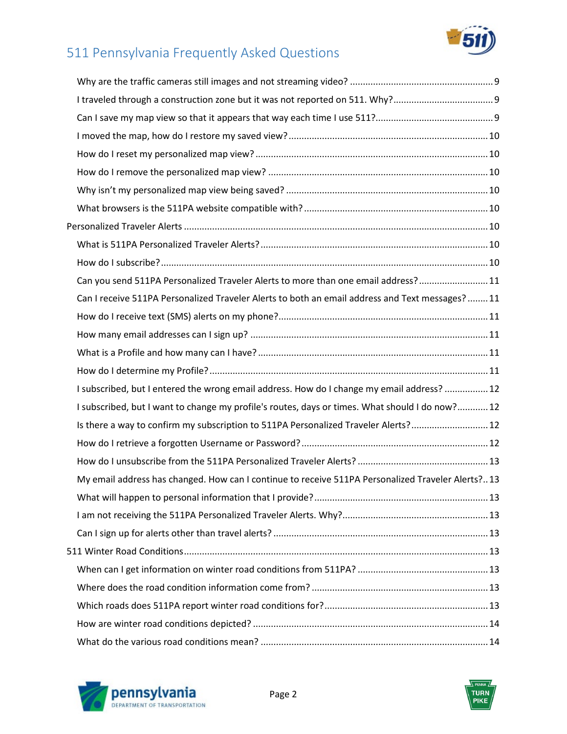

| I traveled through a construction zone but it was not reported on 511. Why?9                      |  |
|---------------------------------------------------------------------------------------------------|--|
|                                                                                                   |  |
|                                                                                                   |  |
|                                                                                                   |  |
|                                                                                                   |  |
|                                                                                                   |  |
|                                                                                                   |  |
|                                                                                                   |  |
|                                                                                                   |  |
|                                                                                                   |  |
| Can you send 511PA Personalized Traveler Alerts to more than one email address?11                 |  |
| Can I receive 511PA Personalized Traveler Alerts to both an email address and Text messages?11    |  |
|                                                                                                   |  |
|                                                                                                   |  |
|                                                                                                   |  |
|                                                                                                   |  |
|                                                                                                   |  |
| I subscribed, but I entered the wrong email address. How do I change my email address?  12        |  |
| I subscribed, but I want to change my profile's routes, days or times. What should I do now? 12   |  |
| Is there a way to confirm my subscription to 511PA Personalized Traveler Alerts?12                |  |
|                                                                                                   |  |
|                                                                                                   |  |
| My email address has changed. How can I continue to receive 511PA Personalized Traveler Alerts?13 |  |
|                                                                                                   |  |
|                                                                                                   |  |
|                                                                                                   |  |
|                                                                                                   |  |
|                                                                                                   |  |
|                                                                                                   |  |
|                                                                                                   |  |
|                                                                                                   |  |



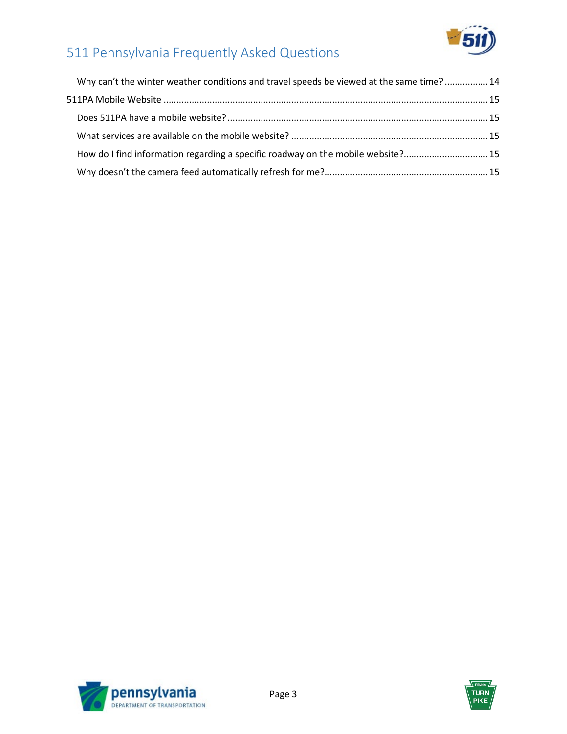

| Why can't the winter weather conditions and travel speeds be viewed at the same time? 14 |
|------------------------------------------------------------------------------------------|
|                                                                                          |
|                                                                                          |
|                                                                                          |
| How do I find information regarding a specific roadway on the mobile website?15          |
|                                                                                          |



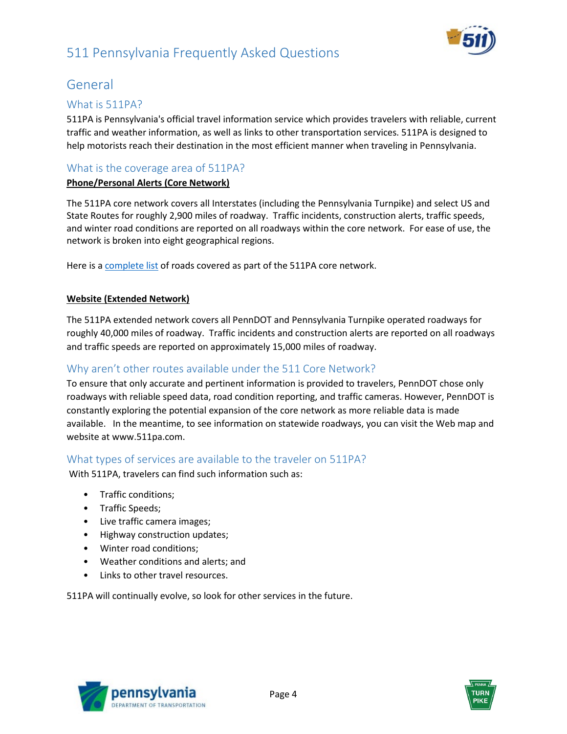

## <span id="page-3-0"></span>General

#### <span id="page-3-1"></span>What is 511PA?

511PA is Pennsylvania's official travel information service which provides travelers with reliable, current traffic and weather information, as well as links to other transportation services. 511PA is designed to help motorists reach their destination in the most efficient manner when traveling in Pennsylvania.

#### <span id="page-3-2"></span>What is the coverage area of 511PA?

#### **Phone/Personal Alerts (Core Network)**

The 511PA core network covers all Interstates (including the Pennsylvania Turnpike) and select US and State Routes for roughly 2,900 miles of roadway. Traffic incidents, construction alerts, traffic speeds, and winter road conditions are reported on all roadways within the core network. For ease of use, the network is broken into eight geographical regions.

Here is a [complete list](http://pa511.com/pdfs/PA511IncidentandFlowNetwork.pdf) of roads covered as part of the 511PA core network.

#### **Website (Extended Network)**

The 511PA extended network covers all PennDOT and Pennsylvania Turnpike operated roadways for roughly 40,000 miles of roadway. Traffic incidents and construction alerts are reported on all roadways and traffic speeds are reported on approximately 15,000 miles of roadway.

#### <span id="page-3-3"></span>Why aren't other routes available under the 511 Core Network?

To ensure that only accurate and pertinent information is provided to travelers, PennDOT chose only roadways with reliable speed data, road condition reporting, and traffic cameras. However, PennDOT is constantly exploring the potential expansion of the core network as more reliable data is made available. In the meantime, to see information on statewide roadways, you can visit the Web map and website at www.511pa.com.

#### <span id="page-3-4"></span>What types of services are available to the traveler on 511PA?

With 511PA, travelers can find such information such as:

- Traffic conditions;
- Traffic Speeds;
- Live traffic camera images;
- Highway construction updates;
- Winter road conditions;
- Weather conditions and alerts; and
- Links to other travel resources.

511PA will continually evolve, so look for other services in the future.



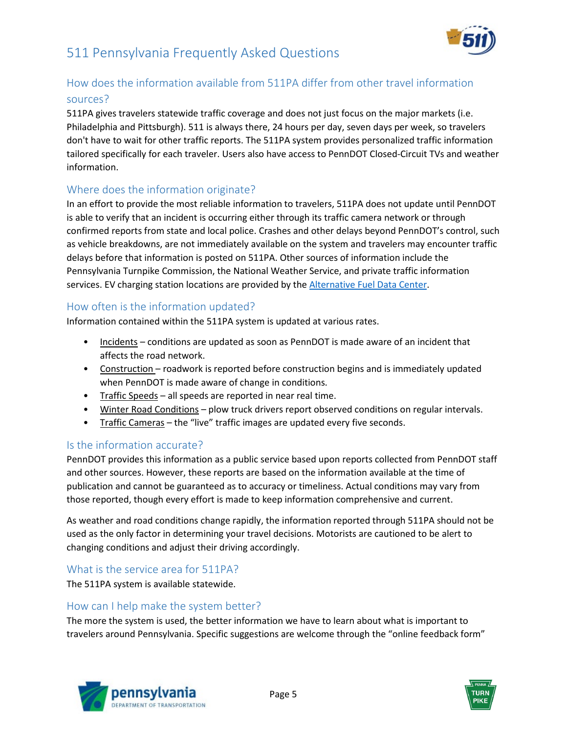

### <span id="page-4-0"></span>How does the information available from 511PA differ from other travel information sources?

511PA gives travelers statewide traffic coverage and does not just focus on the major markets (i.e. Philadelphia and Pittsburgh). 511 is always there, 24 hours per day, seven days per week, so travelers don't have to wait for other traffic reports. The 511PA system provides personalized traffic information tailored specifically for each traveler. Users also have access to PennDOT Closed-Circuit TVs and weather information.

#### <span id="page-4-1"></span>Where does the information originate?

In an effort to provide the most reliable information to travelers, 511PA does not update until PennDOT is able to verify that an incident is occurring either through its traffic camera network or through confirmed reports from state and local police. Crashes and other delays beyond PennDOT's control, such as vehicle breakdowns, are not immediately available on the system and travelers may encounter traffic delays before that information is posted on 511PA. Other sources of information include the Pennsylvania Turnpike Commission, the National Weather Service, and private traffic information services. EV charging station locations are provided by the [Alternative Fuel Data Center.](https://afdc.energy.gov/fuels/electricity_locations.html#/find/nearest)

#### <span id="page-4-2"></span>How often is the information updated?

Information contained within the 511PA system is updated at various rates.

- Incidents conditions are updated as soon as PennDOT is made aware of an incident that affects the road network.
- Construction roadwork is reported before construction begins and is immediately updated when PennDOT is made aware of change in conditions.
- Traffic Speeds all speeds are reported in near real time.
- Winter Road Conditions plow truck drivers report observed conditions on regular intervals.
- Traffic Cameras the "live" traffic images are updated every five seconds.

#### <span id="page-4-3"></span>Is the information accurate?

PennDOT provides this information as a public service based upon reports collected from PennDOT staff and other sources. However, these reports are based on the information available at the time of publication and cannot be guaranteed as to accuracy or timeliness. Actual conditions may vary from those reported, though every effort is made to keep information comprehensive and current.

As weather and road conditions change rapidly, the information reported through 511PA should not be used as the only factor in determining your travel decisions. Motorists are cautioned to be alert to changing conditions and adjust their driving accordingly.

#### <span id="page-4-4"></span>What is the service area for 511PA?

The 511PA system is available statewide.

#### <span id="page-4-5"></span>How can I help make the system better?

The more the system is used, the better information we have to learn about what is important to travelers around Pennsylvania. Specific suggestions are welcome through the "online feedback form"



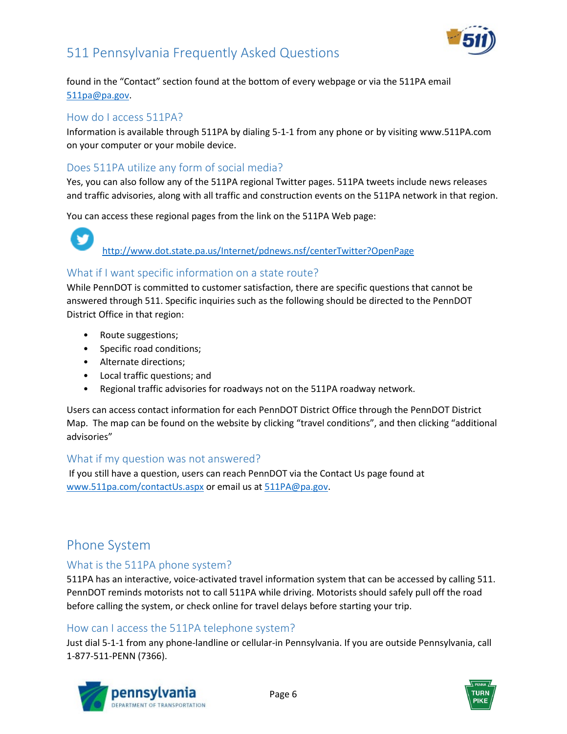

found in the "Contact" section found at the bottom of every webpage or via the 511PA email [511pa@pa.gov.](mailto:511pa@pa.gov)

#### <span id="page-5-0"></span>How do I access 511PA?

Information is available through 511PA by dialing 5-1-1 from any phone or by visiting www.511PA.com on your computer or your mobile device.

#### <span id="page-5-1"></span>Does 511PA utilize any form of social media?

Yes, you can also follow any of the 511PA regional Twitter pages. 511PA tweets include news releases and traffic advisories, along with all traffic and construction events on the 511PA network in that region.

You can access these regional pages from the link on the 511PA Web page:

# <http://www.dot.state.pa.us/Internet/pdnews.nsf/centerTwitter?OpenPage>

#### <span id="page-5-2"></span>What if I want specific information on a state route?

While PennDOT is committed to customer satisfaction, there are specific questions that cannot be answered through 511. Specific inquiries such as the following should be directed to the PennDOT District Office in that region:

- Route suggestions;
- Specific road conditions;
- Alternate directions;
- Local traffic questions; and
- Regional traffic advisories for roadways not on the 511PA roadway network.

Users can access contact information for each PennDOT District Office through the PennDOT District Map. The map can be found on the website by clicking "travel conditions", and then clicking "additional advisories"

#### <span id="page-5-3"></span>What if my question was not answered?

<span id="page-5-4"></span>If you still have a question, users can reach PennDOT via the Contact Us page found at [www.511pa.com/contactUs.aspx](http://www.511pa.com/contactUs.aspx) or email us at [511PA@pa.gov.](mailto:511PA@pa.gov)

## Phone System

#### <span id="page-5-5"></span>What is the 511PA phone system?

511PA has an interactive, voice-activated travel information system that can be accessed by calling 511. PennDOT reminds motorists not to call 511PA while driving. Motorists should safely pull off the road before calling the system, or check online for travel delays before starting your trip.

#### <span id="page-5-6"></span>How can I access the 511PA telephone system?

Just dial 5-1-1 from any phone-landline or cellular-in Pennsylvania. If you are outside Pennsylvania, call 1-877-511-PENN (7366).



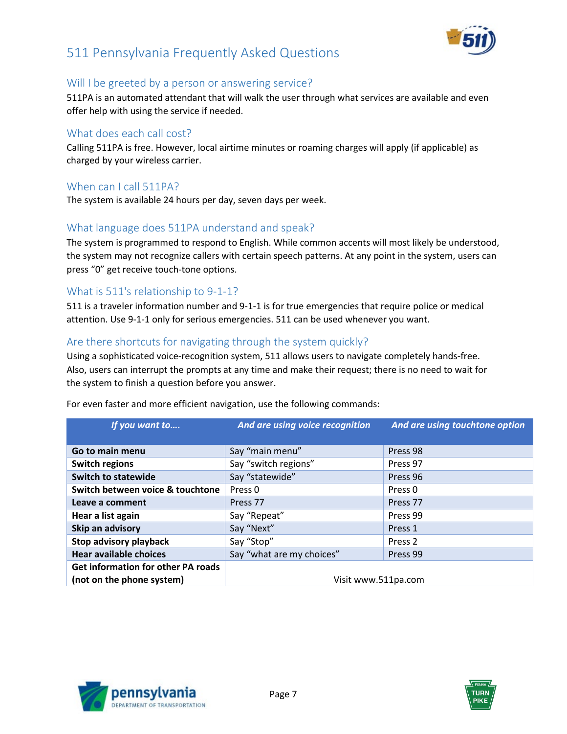

#### <span id="page-6-0"></span>Will I be greeted by a person or answering service?

511PA is an automated attendant that will walk the user through what services are available and even offer help with using the service if needed.

#### <span id="page-6-1"></span>What does each call cost?

Calling 511PA is free. However, local airtime minutes or roaming charges will apply (if applicable) as charged by your wireless carrier.

#### When can I call 511PA?

The system is available 24 hours per day, seven days per week.

#### <span id="page-6-2"></span>What language does 511PA understand and speak?

The system is programmed to respond to English. While common accents will most likely be understood, the system may not recognize callers with certain speech patterns. At any point in the system, users can press "0" get receive touch-tone options.

#### <span id="page-6-3"></span>What is 511's relationship to 9-1-1?

511 is a traveler information number and 9-1-1 is for true emergencies that require police or medical attention. Use 9-1-1 only for serious emergencies. 511 can be used whenever you want.

#### <span id="page-6-4"></span>Are there shortcuts for navigating through the system quickly?

Using a sophisticated voice-recognition system, 511 allows users to navigate completely hands-free. Also, users can interrupt the prompts at any time and make their request; there is no need to wait for the system to finish a question before you answer.

| If you want to                     | And are using voice recognition | And are using touchtone option |
|------------------------------------|---------------------------------|--------------------------------|
|                                    |                                 |                                |
| Go to main menu                    | Say "main menu"                 | Press 98                       |
| <b>Switch regions</b>              | Say "switch regions"            | Press 97                       |
| <b>Switch to statewide</b>         | Say "statewide"                 | Press 96                       |
| Switch between voice & touchtone   | Press <sub>0</sub>              | Press <sub>0</sub>             |
| Leave a comment                    | Press <sub>77</sub>             | Press <sub>77</sub>            |
| Hear a list again                  | Say "Repeat"                    | Press 99                       |
| Skip an advisory                   | Say "Next"                      | Press 1                        |
| Stop advisory playback             | Say "Stop"                      | Press <sub>2</sub>             |
| <b>Hear available choices</b>      | Say "what are my choices"       | Press 99                       |
| Get information for other PA roads |                                 |                                |
| (not on the phone system)          | Visit www.511pa.com             |                                |

For even faster and more efficient navigation, use the following commands:



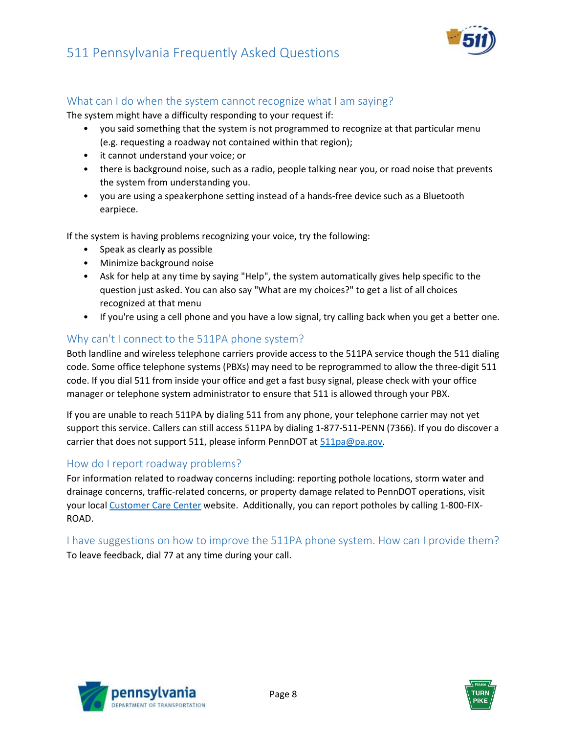

#### <span id="page-7-0"></span>What can I do when the system cannot recognize what I am saying?

The system might have a difficulty responding to your request if:

- you said something that the system is not programmed to recognize at that particular menu (e.g. requesting a roadway not contained within that region);
- it cannot understand your voice; or
- there is background noise, such as a radio, people talking near you, or road noise that prevents the system from understanding you.
- you are using a speakerphone setting instead of a hands-free device such as a Bluetooth earpiece.

If the system is having problems recognizing your voice, try the following:

- Speak as clearly as possible
- Minimize background noise
- Ask for help at any time by saying "Help", the system automatically gives help specific to the question just asked. You can also say "What are my choices?" to get a list of all choices recognized at that menu
- If you're using a cell phone and you have a low signal, try calling back when you get a better one.

#### <span id="page-7-1"></span>Why can't I connect to the 511PA phone system?

Both landline and wireless telephone carriers provide access to the 511PA service though the 511 dialing code. Some office telephone systems (PBXs) may need to be reprogrammed to allow the three-digit 511 code. If you dial 511 from inside your office and get a fast busy signal, please check with your office manager or telephone system administrator to ensure that 511 is allowed through your PBX.

If you are unable to reach 511PA by dialing 511 from any phone, your telephone carrier may not yet support this service. Callers can still access 511PA by dialing 1-877-511-PENN (7366). If you do discover a carrier that does not support 511, please inform PennDOT a[t 511pa@pa.gov.](mailto:511pa@pa.gov)

#### <span id="page-7-2"></span>How do I report roadway problems?

For information related to roadway concerns including: reporting pothole locations, storm water and drainage concerns, traffic-related concerns, or property damage related to PennDOT operations, visit your local [Customer Care Center](https://customercare.penndot.gov/) website. Additionally, you can report potholes by calling 1-800-FIX-ROAD.

<span id="page-7-3"></span>I have suggestions on how to improve the 511PA phone system. How can I provide them? To leave feedback, dial 77 at any time during your call.



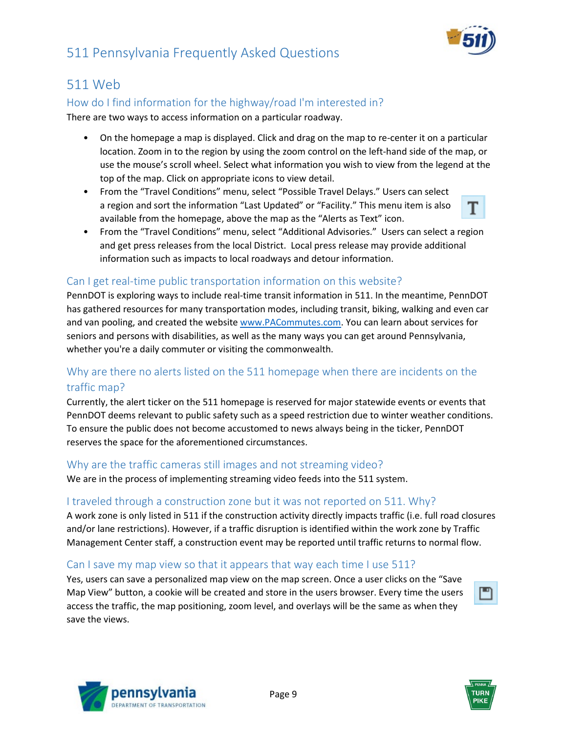



## <span id="page-8-0"></span>511 Web

#### <span id="page-8-1"></span>How do I find information for the highway/road I'm interested in?

There are two ways to access information on a particular roadway.

- On the homepage a map is displayed. Click and drag on the map to re-center it on a particular location. Zoom in to the region by using the zoom control on the left-hand side of the map, or use the mouse's scroll wheel. Select what information you wish to view from the legend at the top of the map. Click on appropriate icons to view detail.
- From the "Travel Conditions" menu, select "Possible Travel Delays." Users can select a region and sort the information "Last Updated" or "Facility." This menu item is also available from the homepage, above the map as the "Alerts as Text" icon.



• From the "Travel Conditions" menu, select "Additional Advisories." Users can select a region and get press releases from the local District. Local press release may provide additional information such as impacts to local roadways and detour information.

#### <span id="page-8-2"></span>Can I get real-time public transportation information on this website?

PennDOT is exploring ways to include real-time transit information in 511. In the meantime, PennDOT has gathered resources for many transportation modes, including transit, biking, walking and even car and van pooling, and created the websit[e www.PACommutes.com.](http://www.pacommutes.com/) You can learn about services for seniors and persons with disabilities, as well as the many ways you can get around Pennsylvania, whether you're a daily commuter or visiting the commonwealth.

#### <span id="page-8-3"></span>Why are there no alerts listed on the 511 homepage when there are incidents on the traffic map?

Currently, the alert ticker on the 511 homepage is reserved for major statewide events or events that PennDOT deems relevant to public safety such as a speed restriction due to winter weather conditions. To ensure the public does not become accustomed to news always being in the ticker, PennDOT reserves the space for the aforementioned circumstances.

#### <span id="page-8-4"></span>Why are the traffic cameras still images and not streaming video?

We are in the process of implementing streaming video feeds into the 511 system.

#### <span id="page-8-5"></span>I traveled through a construction zone but it was not reported on 511. Why?

A work zone is only listed in 511 if the construction activity directly impacts traffic (i.e. full road closures and/or lane restrictions). However, if a traffic disruption is identified within the work zone by Traffic Management Center staff, a construction event may be reported until traffic returns to normal flow.

#### <span id="page-8-6"></span>Can I save my map view so that it appears that way each time I use 511?

Yes, users can save a personalized map view on the map screen. Once a user clicks on the "Save Map View" button, a cookie will be created and store in the users browser. Every time the users access the traffic, the map positioning, zoom level, and overlays will be the same as when they save the views.





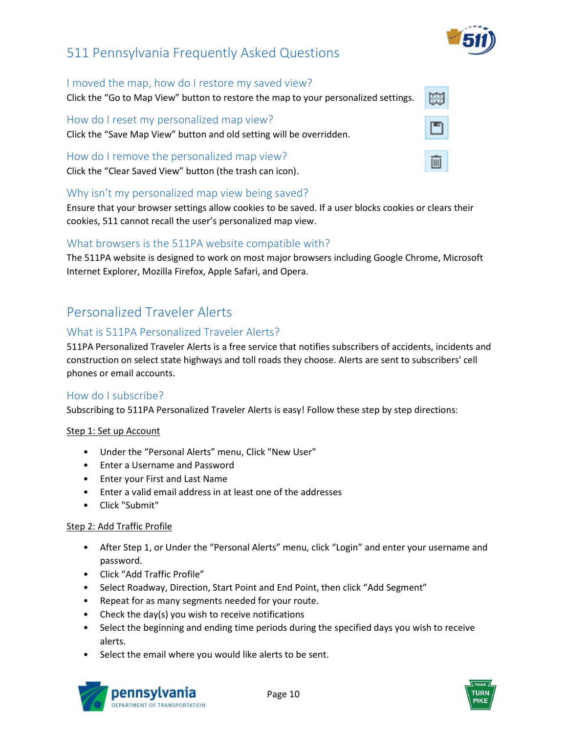

蘭

画

#### <span id="page-9-0"></span>I moved the map, how do I restore my saved view?

Click the "Go to Map View" button to restore the map to your personalized settings.

<span id="page-9-1"></span>How do I reset my personalized map view? Click the "Save Map View" button and old setting will be overridden.

<span id="page-9-2"></span>How do I remove the personalized map view? Click the "Clear Saved View" button (the trash can icon).

#### <span id="page-9-3"></span>Why isn't my personalized map view being saved?

Ensure that your browser settings allow cookies to be saved. If a user blocks cookies or clears their cookies, 511 cannot recall the user's personalized map view.

#### <span id="page-9-4"></span>What browsers is the 511PA website compatible with?

The 511PA website is designed to work on most major browsers including Google Chrome, Microsoft Internet Explorer, Mozilla Firefox, Apple Safari, and Opera.

## <span id="page-9-5"></span>Personalized Traveler Alerts

#### <span id="page-9-6"></span>What is 511PA Personalized Traveler Alerts?

511PA Personalized Traveler Alerts is a free service that notifies subscribers of accidents, incidents and construction on select state highways and toll roads they choose. Alerts are sent to subscribers' cell phones or email accounts.

#### <span id="page-9-7"></span>How do I subscribe?

Subscribing to 511PA Personalized Traveler Alerts is easy! Follow these step by step directions:

#### Step 1: Set up Account

- Under the "Personal Alerts" menu, Click "New User"
- Enter a Username and Password
- Enter your First and Last Name
- Enter a valid email address in at least one of the addresses
- Click "Submit"

#### Step 2: Add Traffic Profile

- After Step 1, or Under the "Personal Alerts" menu, click "Login" and enter your username and password.
- Click "Add Traffic Profile"
- Select Roadway, Direction, Start Point and End Point, then click "Add Segment"
- Repeat for as many segments needed for your route.
- Check the day(s) you wish to receive notifications
- Select the beginning and ending time periods during the specified days you wish to receive alerts.
- Select the email where you would like alerts to be sent.



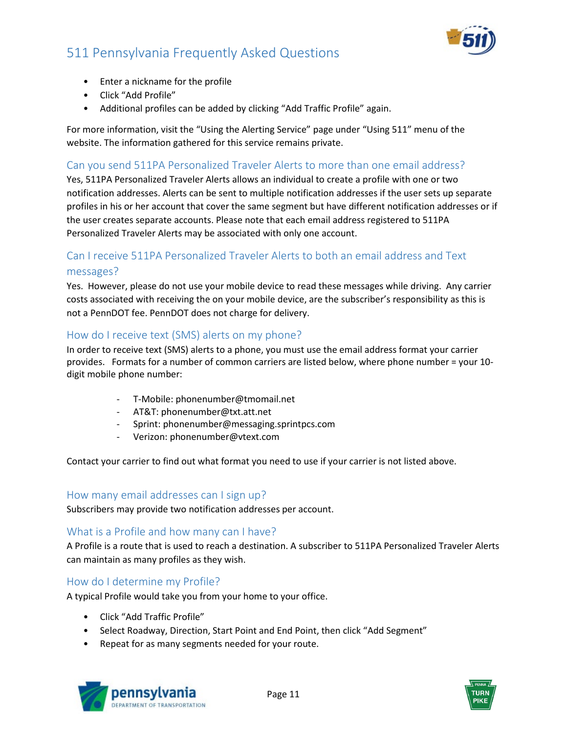

- Enter a nickname for the profile
- Click "Add Profile"
- Additional profiles can be added by clicking "Add Traffic Profile" again.

For more information, visit the "Using the Alerting Service" page under "Using 511" menu of the website. The information gathered for this service remains private.

#### <span id="page-10-0"></span>Can you send 511PA Personalized Traveler Alerts to more than one email address?

Yes, 511PA Personalized Traveler Alerts allows an individual to create a profile with one or two notification addresses. Alerts can be sent to multiple notification addresses if the user sets up separate profiles in his or her account that cover the same segment but have different notification addresses or if the user creates separate accounts. Please note that each email address registered to 511PA Personalized Traveler Alerts may be associated with only one account.

#### <span id="page-10-1"></span>Can I receive 511PA Personalized Traveler Alerts to both an email address and Text messages?

Yes. However, please do not use your mobile device to read these messages while driving. Any carrier costs associated with receiving the on your mobile device, are the subscriber's responsibility as this is not a PennDOT fee. PennDOT does not charge for delivery.

#### <span id="page-10-2"></span>How do I receive text (SMS) alerts on my phone?

In order to receive text (SMS) alerts to a phone, you must use the email address format your carrier provides. Formats for a number of common carriers are listed below, where phone number = your 10 digit mobile phone number:

- T-Mobile: phonenumber@tmomail.net
- AT&T: phonenumber@txt.att.net
- Sprint: phonenumber@messaging.sprintpcs.com
- Verizon: phonenumber@vtext.com

<span id="page-10-3"></span>Contact your carrier to find out what format you need to use if your carrier is not listed above.

#### How many email addresses can I sign up?

Subscribers may provide two notification addresses per account.

#### <span id="page-10-4"></span>What is a Profile and how many can I have?

A Profile is a route that is used to reach a destination. A subscriber to 511PA Personalized Traveler Alerts can maintain as many profiles as they wish.

#### <span id="page-10-5"></span>How do I determine my Profile?

A typical Profile would take you from your home to your office.

- Click "Add Traffic Profile"
- Select Roadway, Direction, Start Point and End Point, then click "Add Segment"
- Repeat for as many segments needed for your route.



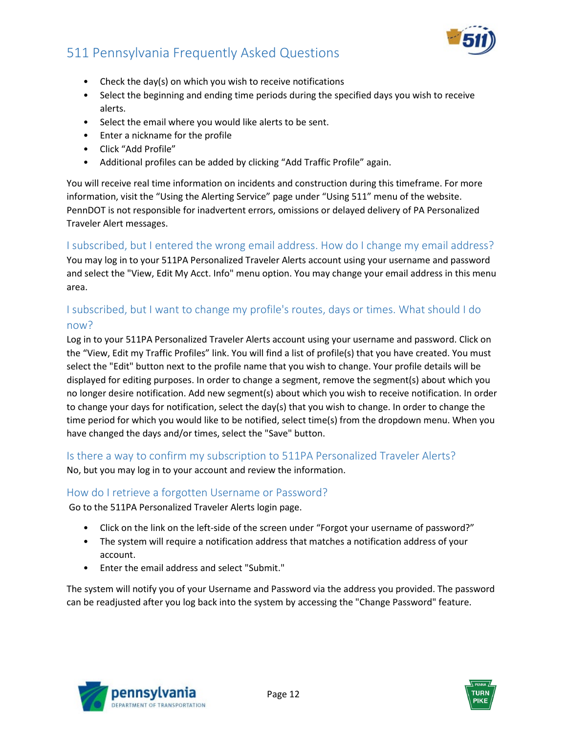

- Check the day(s) on which you wish to receive notifications
- Select the beginning and ending time periods during the specified days you wish to receive alerts.
- Select the email where you would like alerts to be sent.
- Enter a nickname for the profile
- Click "Add Profile"
- Additional profiles can be added by clicking "Add Traffic Profile" again.

You will receive real time information on incidents and construction during this timeframe. For more information, visit the "Using the Alerting Service" page under "Using 511" menu of the website. PennDOT is not responsible for inadvertent errors, omissions or delayed delivery of PA Personalized Traveler Alert messages.

#### <span id="page-11-0"></span>I subscribed, but I entered the wrong email address. How do I change my email address?

You may log in to your 511PA Personalized Traveler Alerts account using your username and password and select the "View, Edit My Acct. Info" menu option. You may change your email address in this menu area.

#### <span id="page-11-1"></span>I subscribed, but I want to change my profile's routes, days or times. What should I do now?

Log in to your 511PA Personalized Traveler Alerts account using your username and password. Click on the "View, Edit my Traffic Profiles" link. You will find a list of profile(s) that you have created. You must select the "Edit" button next to the profile name that you wish to change. Your profile details will be displayed for editing purposes. In order to change a segment, remove the segment(s) about which you no longer desire notification. Add new segment(s) about which you wish to receive notification. In order to change your days for notification, select the day(s) that you wish to change. In order to change the time period for which you would like to be notified, select time(s) from the dropdown menu. When you have changed the days and/or times, select the "Save" button.

<span id="page-11-2"></span>Is there a way to confirm my subscription to 511PA Personalized Traveler Alerts? No, but you may log in to your account and review the information.

#### <span id="page-11-3"></span>How do I retrieve a forgotten Username or Password?

Go to the 511PA Personalized Traveler Alerts login page.

- Click on the link on the left-side of the screen under "Forgot your username of password?"
- The system will require a notification address that matches a notification address of your account.
- Enter the email address and select "Submit."

The system will notify you of your Username and Password via the address you provided. The password can be readjusted after you log back into the system by accessing the "Change Password" feature.



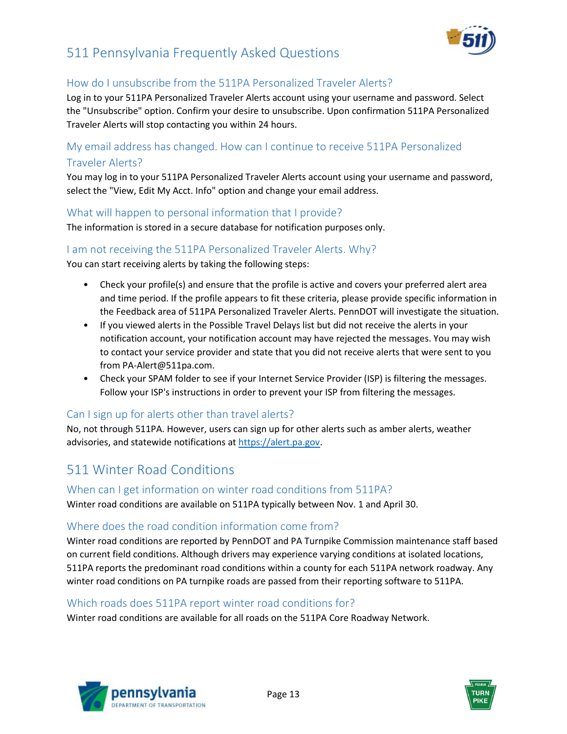

#### <span id="page-12-0"></span>How do I unsubscribe from the 511PA Personalized Traveler Alerts?

Log in to your 511PA Personalized Traveler Alerts account using your username and password. Select the "Unsubscribe" option. Confirm your desire to unsubscribe. Upon confirmation 511PA Personalized Traveler Alerts will stop contacting you within 24 hours.

#### <span id="page-12-1"></span>My email address has changed. How can I continue to receive 511PA Personalized Traveler Alerts?

You may log in to your 511PA Personalized Traveler Alerts account using your username and password, select the "View, Edit My Acct. Info" option and change your email address.

#### <span id="page-12-2"></span>What will happen to personal information that I provide?

The information is stored in a secure database for notification purposes only.

#### <span id="page-12-3"></span>I am not receiving the 511PA Personalized Traveler Alerts. Why?

You can start receiving alerts by taking the following steps:

- Check your profile(s) and ensure that the profile is active and covers your preferred alert area and time period. If the profile appears to fit these criteria, please provide specific information in the Feedback area of 511PA Personalized Traveler Alerts. PennDOT will investigate the situation.
- If you viewed alerts in the Possible Travel Delays list but did not receive the alerts in your notification account, your notification account may have rejected the messages. You may wish to contact your service provider and state that you did not receive alerts that were sent to you from PA-Alert@511pa.com.
- Check your SPAM folder to see if your Internet Service Provider (ISP) is filtering the messages. Follow your ISP's instructions in order to prevent your ISP from filtering the messages.

#### <span id="page-12-4"></span>Can I sign up for alerts other than travel alerts?

No, not through 511PA. However, users can sign up for other alerts such as amber alerts, weather advisories, and statewide notifications a[t https://alert.pa.gov.](https://alert.pa.gov/)

## <span id="page-12-5"></span>511 Winter Road Conditions

#### <span id="page-12-6"></span>When can I get information on winter road conditions from 511PA?

Winter road conditions are available on 511PA typically between Nov. 1 and April 30.

#### <span id="page-12-7"></span>Where does the road condition information come from?

Winter road conditions are reported by PennDOT and PA Turnpike Commission maintenance staff based on current field conditions. Although drivers may experience varying conditions at isolated locations, 511PA reports the predominant road conditions within a county for each 511PA network roadway. Any winter road conditions on PA turnpike roads are passed from their reporting software to 511PA.

#### <span id="page-12-8"></span>Which roads does 511PA report winter road conditions for?

Winter road conditions are available for all roads on the 511PA Core Roadway Network.



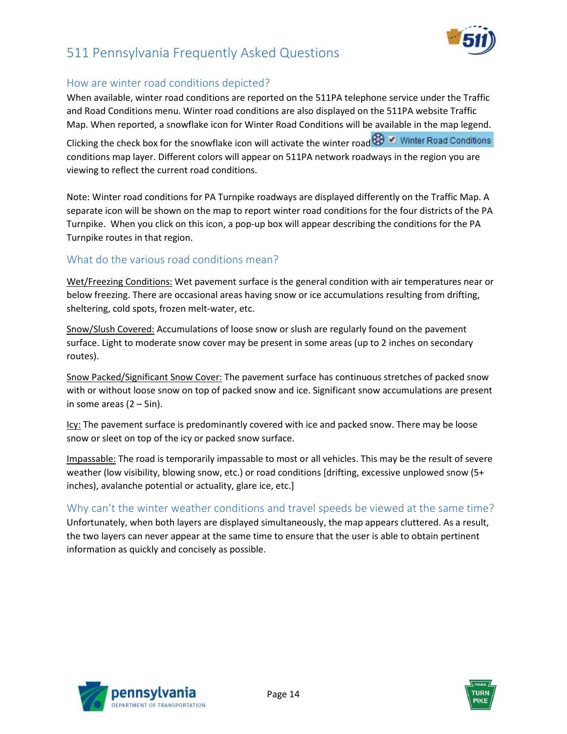

#### <span id="page-13-0"></span>How are winter road conditions depicted?

When available, winter road conditions are reported on the 511PA telephone service under the Traffic and Road Conditions menu. Winter road conditions are also displayed on the 511PA website Traffic Map. When reported, a snowflake icon for Winter Road Conditions will be available in the map legend.

Clicking the check box for the snowflake icon will activate the winter road O Winter Road Conditions conditions map layer. Different colors will appear on 511PA network roadways in the region you are viewing to reflect the current road conditions.

Note: Winter road conditions for PA Turnpike roadways are displayed differently on the Traffic Map. A separate icon will be shown on the map to report winter road conditions for the four districts of the PA Turnpike. When you click on this icon, a pop-up box will appear describing the conditions for the PA Turnpike routes in that region.

#### <span id="page-13-1"></span>What do the various road conditions mean?

Wet/Freezing Conditions: Wet pavement surface is the general condition with air temperatures near or below freezing. There are occasional areas having snow or ice accumulations resulting from drifting, sheltering, cold spots, frozen melt-water, etc.

Snow/Slush Covered: Accumulations of loose snow or slush are regularly found on the pavement surface. Light to moderate snow cover may be present in some areas (up to 2 inches on secondary routes).

Snow Packed/Significant Snow Cover: The pavement surface has continuous stretches of packed snow with or without loose snow on top of packed snow and ice. Significant snow accumulations are present in some areas  $(2 - 5in)$ .

Icy: The pavement surface is predominantly covered with ice and packed snow. There may be loose snow or sleet on top of the icy or packed snow surface.

Impassable: The road is temporarily impassable to most or all vehicles. This may be the result of severe weather (low visibility, blowing snow, etc.) or road conditions [drifting, excessive unplowed snow (5+ inches), avalanche potential or actuality, glare ice, etc.]

#### <span id="page-13-2"></span>Why can't the winter weather conditions and travel speeds be viewed at the same time?

<span id="page-13-3"></span>Unfortunately, when both layers are displayed simultaneously, the map appears cluttered. As a result, the two layers can never appear at the same time to ensure that the user is able to obtain pertinent information as quickly and concisely as possible.